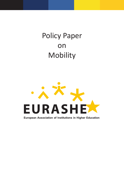# Policy Paper on Mobility



European Association of Institutions in Higher Education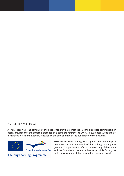#### Copyright © 2012 by EURASHE

All rights reserved. The contents of this publication may be reproduced in part, except for commercial purposes, provided that the extract is preceded by a complete reference to EURASHE (European Association of Institutions in Higher Education) followed by the date and title of the publication of the document.



EURASHE received funding with support from the European Commission in the framework of the Lifelong Learning Programme. This publication reflects the views only of the author, and the Commission cannot be held responsible for any use which may be made of the information contained therein.

**Lifelong Learning Programme**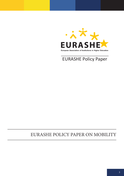

EURASHE Policy Paper

## EURASHE POLICY PAPER ON MOBILITY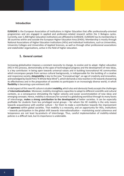#### **Introduction**

**EURASHE** is the European Association of Institutions in Higher Education that offer professionally-oriented programmes and are engaged in applied and profession-related research within the 3 Bologna cycles. Currently, over 1,400 higher education institutions are affiliated to EURASHE. EURASHE has its membership in 38 countries within and outside the European Higher Education Area (EHEA). Membership is mostly through National Associations of Higher Education Institutions (HEIs) and Individual Institutions, such as Universities, University Colleges and Universities of Applied Sciences, as well as through other professional associations and stakeholder organisations, active in the field of higher education.

#### **1. General context**

Increasing globalisation imposes a constant necessity to change, to evolve and to adapt. Higher education (HE) in this process, demonstrably at the apex of technological progress and the development of new ideas, is a key contributor. In being open towards universal values and in building transnational HE communities which encompass people from various cultural backgrounds, is indispensable for the building of a creative and responsive society. **Adaptability** is key to the new "Conceptual Age", an age of creativity and innovation, acknowledged by David Pink ("A Whole New Mind"), which demands a new reaction in HE towards sharpening its effectiveness and in the preparation of societies to participate in an increasingly diverse world, in which **flexibility** is becoming a pre-eminent skill.

A vital aspect of this new HE culture is student **mobility,** which also and obviously freely accepts the challenges of **internationalisation**. Moreover, mobility strengthens capacities to adapt to different scientific and cultural contexts, as a consequence stimulating the higher velocity and easier accommodation of new ideas and emerging concepts. Hence, mobility is necessary for survival in a globalising world but through its many facets of interchange, **makes a strong contribution to the development** of better societies. It can be especially profitable for students from less privileged social groups – for whom the HE mobility is the only means towards acquaintance with another culture – for them to make a contribution towards the improvement of **openness** within global societies. That mobility is a necessity, and an opportunity for HEIs, institutions – towards participation in the global shift towards internationalisation – maintaining social coherence and temperance are not least by-products of interchange. Thus, careful implementation of mobility-related policies is a difficult task, but its importance is undeniable.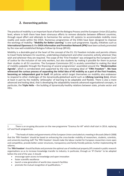### **2. Overarching policies**

The practice of mobility is an important facet of both the Bologna Process and the European Union (EU) policy level, where in both there have been strenuous efforts to remove obstacles between different countries, through equal effort and attempts to harmonise the various HE systems to accommodate mobility more readily and easily within the EHEA. Numerous programmes of the EHEA have been designed to improve the workings of mobility: "**Mobility for Better Learning**" is one such programme. Equally, initiatives such as **International Openness** & the **EHEA Information and Promotion Network (IPN)** have been actively promoted by the now well-established Bologna Follow-Up Group (BFUG).

Mobility is a desirable goal at the heart of the concept of the EU. EU freedom includes and permits citizens to travel freely between EU countries, undertaking employment and other economic activity wherever they wish and wherever they are required. The scope of the 'First Freedom' was enlarged by the European Court of Justice for the inclusion of not only workers, but also students by making it possible for them to pursue their studies in all EU countries. The European Commission (EC) is acutely committed to making the ideal of mobility palpable through the financing of several programmes<sup>1</sup> assembled around the "Modernisation **Agenda**", which is corroborated and supported by the new emerging ideal of "**Fifth Freedom**"<sup>2</sup> **. We have witnessed the curious process of separating the initial idea of HE mobility as a part of the First Freedom, becoming an independent goal in itself.** All policies which target themselves on mobility also endeavour to respond to other challenges of the dynamically-globalised world such as **Lifelong Learning (LLL)**, driven at least in part by the mobility 'philosophy' of learning to be adaptable and flexible. There is also a more advanced and testing ideal, that is developing the adaptability towards advanced organisational concepts, in particular, the **Triple Helix** – the building of dynamically-healthy relations between state, private sector and HEIs.

- encourage open access to knowledge and open innovation
- foster scientific excellence
- launch a new generation of world-class research facilities
- promote the mutual recognition of qualifications. "

<sup>1</sup> There is an on-going discussion on the new programme "Erasmus for All" which shall start in 2014, replacing LLP and Youth programmes.

<sup>2 &</sup>quot;The heads of states and governments of the European Union concluded at a meeting in Brussels (March 2008) that the 'fifth freedom' should be based on enhancing the cross-border mobility of researchers, students, scientists, and university teaching staff. The 'fifth freedom' should make the labour market for European researchers more open and competitive, provide better career structures, transparency and family-friendly policies; further implementing HE reforms.

The '**fifth freedom**' should facilitate and promote the optimal use of intellectual property (IP) created in public research organisations so as to increase knowledge transfer to industry. In particular, through an 'IP Charter' to be adopted before the end of the year, it should: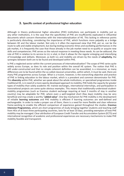#### **3. Specific context of professional higher education**

Although in theory professional higher education (PHE) institutions can participate in mobility just as any other institutions, it is the case that the specificities of PHE are insufficiently explicated in influential documents which concern themselves with the internationalisation of HE. This lacking in reference points is particularly disturbing, considering the importance of PHE, which functions more palpably as a bridge between HE and the labour market. Not only is it often the expressed view that PHE, *per se,* can be the route to safe and stable employment, but during testing economic times and oscillating performances in the job market, it is frequently the case that those already in the job market need to re-qualify or acquire new skills and competencies. PHE serves as the natural response in meeting these needs. As can be adduced, the role of PHE in relation to its service to LLL is vital, in that it allows for the regular enlarging and intensifying of knowledge and skillsets. Moreover, as both LLL and mobility are driven by the needs of **adaptivity,** the synergies between both are to be found and developed within PHE.

Is PHE a neglected sector within the current processes of internationalisation? The scope of PHE varies quite widely across Europe, as does its role and position within the overall HE system. The notion that PHE is still under-constructed and that no simple coherent definition can be assembled, is a misnomer, as many differences are to be found within the so-called classical universities, within which, it must be said, there are many PHE programmes across Europe. What is a truism, however, is the overarching objective and practice of PHE in linking education to the labour market, which is a prevalent and common denominator for PHE. This **diversity** within PHE, whether we speak about the whole institutions, or specialised programmes inside traditional HE, is in need of a more openly-developed approach to mobility. PHE holds the capacity for greater types of mobility than solely academic HE: trainee exchanges, international internships, and participation in transnational projects are some quite obvious examples. This means that traditionally-understood studentmobility programmes (such as Erasmus student exchange requiring at least 3 months of stay in another country) may be adaptable for PHE, where even a well-targeted short (few days) mobility may be very beneficial and may create a worthy "**added value**". One key mechanism for PHE mobility is the development of reliable **learning outcomes** and PHE mobility is efficient if learning outcomes are well-defined and exchangeable. In order to make a proper use of them, there is a need for more flexible and clear reference frame-working to enable the efficient comparison of experience gained throughout the studies. **Erasmus Intensive Programmes,** which are short programmes of study bringing together students and teaching staff from HEIs of at least three participating countries, lasts for at least 10 days, providing exemplars of how PHE mobility may be managed. Clear attribution of European Credit Transfer and Accumulation System (ECTS) and international recognition of academic and professional experiences are necessary mechanisms to make PHE mobility feasible and transparent.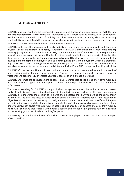#### **4. Position of EURASHE**

EURASHE and its members are enthusiastic supporters of European actions promoting **mobility** and **international openness**. We recognise their importance to PHE, whose role and visibility in this development will be actively promoted. Types of mobility and their means towards acquiring skills and increasing employability augment **flexibility** in response to labour-market needs which are constantly evolving and increasingly require adaptability amongst students and graduates.

EURASHE underlines the necessity to diversify mobility, in its overarching need to include both long-term physical, virtual and **short-term mobility**. Furthermore, EURASHE encourages more widespread **Lifelong Mobility** (LLM) which, as a complement to LLL, requires the creation of frameworks for recognition and reward. Hence, we agree that the mobility should not be based, or adjudicated on the length of stay, but that its basic criterion should be **measurable learning outcomes**. LLM alongside with LLL will contribute to the development of **adaptable employees,** and, as a consequence, greater **employability** which is a prominent objective in PHE. There is nothing meretricious or gimmicky, in the practice of mobility; nor should mobility be perceived as a curiosity, but rather a norm fully integrated with HE and PHE precepts and working principles.

EURASHE affirms that mobility and its concomitant contents and structures should be within the remit of undergraduate and postgraduate 'programme levels', which will enable institutions to construct meaningful vocational and academically-orientated vocational aspects of an exchange experience.

EURASHE welcomes the encouragement to collect and interpret data on long- and short-term mobility, a desirable analytical-support function, expressed in the Communiqué after the EHEA Ministerial Conference in Bucharest.

The dynamic corollary for EURASHE is the practical encouragement towards institutions to adopt different kinds of mobility and towards the development of, context, varying teaching profiles and programmes. EURASHE also underlines the position of HEIs who should possess the liberty to develop the physiognomy of 'mobility', the different faces of which should afford a variety of attractive routes and destinations. Objectives will vary from the deepening of purely academic content, the acquisition of specific skills for jobs, or, contribution to personal development of students in the spirit of **international openness** and intercultural understanding. Such diversity should result in acquiring a balanced set of benefits and gains from mobility, which will also ensure that students who opt for a specific qualification or programme have the additional and enhancing guarantee of 'related mobility' opportunity.

EURASHE agrees that the added-value of mobility is secured through good practice and illustrative examples of good practice.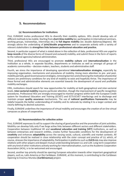#### **5. Recommendations**

#### **(a) Recommendations for institutions**

First, EURASHE invites professional HEIs to diversify their mobility options. HEIs should develop sets of different methods to be mobile. Starting from **short-time mobility** (ex: participation in international seminars, working groups, traineeships, internships etc.) to **full degree mobility** (ex: double diplomas/degrees). We strongly advise the undertaking of **joint/double programmes** and to cooperate actively with a variety of relevant stakeholders to **strengthen links between professional education and practice.**

Second, in particular support of what is stated above in the collection of data, professional HEIs are urged to **keep records** of the diverse forms of (inward and outward) mobility, and submit these in the form of reports to the national agencies/national administration.

Third, professional HEIs are encouraged to promote **mobility culture** and **internationalisation** in the institution as a whole, in separate faculties, departments or institutes as well as amongst all groups of academic communities – decision-makers, teachers, students and administrative staff.

Fourth, we stress the importance of developing operational **internationalisation strategies**, especially by improving organisation, mechanisms and procedures of mobility. Giving more attention to pre- and postmobility periods, good reconnaissance strategies, removing barriers and enhancing the motivation of potential movers are preliminary conditions for any kind of mobility to exist and hopefully thrive. The importance of these formal and administrative elements are essential towards the development of sound and profitable mobility exchanges.

Fifth, institutions should search for new opportunities for mobility at both geographical and inter-sectorial levels. **Inter-sectorial mobility** requires particular attention, though the improvement of specific recognition procedures. Professional HEIs are strongly encouraged to monitor progress within both the European Credit system for Vocational Education and Training (ECVET) and ECTS-ECVET interfacings and to discharge and maintain proper **quality assurance** mechanisms. The use of **national qualifications frameworks** may be helpful towards the better understanding of mobility and its rationale by relating it to a larger context and clearly defining its desired outcomes.

Finally, EURASHE underlines the importance of virtual mobility and encourages the creation of on-line virtual campuses as places of cooperation.

#### **(b) Recommendations for collective action**

First, EURASHE expresses its will to support the sharing of good practice and the promotion of joint activities. Mobility can develop fully only if we forge active links between different sectors and different stakeholders. Cooperation between traditional HE and **vocational education and training (VET)** institutions, as well as between enterprises and research entities, creates further favourable conditions for the development of **creativity** and enhances **adaptability** across the varying social, cultural, scientific and market contexts. All cooperation should be realised in close relationship with the sister concept and practice of LLL which, of course, stresses the importance of adaptability. Participation in platforms such as **EUCIS-LLL** may also improve relations with other players and deepen mutual understanding between LLL and LLM. Long-term cooperation with any kind of other institutions actively working for internationalisation, such as the Academic Cooperation Association (ACA), is to be welcomed and encouraged.

Second, another top priority should be opening European education towards other important geographical players, such as, Latin America or the Caribbean. EURASHE, at this moment, is contributing to the Caribbean Opening to Erasmus Mundus **(CaribErasmus)** project.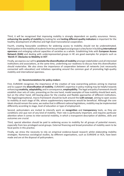Third, it will be recognised that improving mobility is strongly dependent on quality assurance. Hence, **enhancing the quality of mobility** by looking for and **testing different quality indicators** is important for the healthy development of effective and high-level transnational cooperation.

Fourth, creating favourable conditions for widening access to mobility should not be underestimated. Participation in the mobility of students from less privileged social groups is a key factor in building **international openness** and enlarging cultural capacities of societies as a whole. Establishing links with **European Access Network (EAN)** and dealing with underrepresented groups in HE are good examples for projects such as '**MoVE-iT: Obstacles to Mobility in VET**'.

Finally, we express our will to **promote the diversification of mobility** amongst stakeholders and all interested institutions and associations, at the same time, underlining our readiness to discuss how this diversification should materialise. We also stress the importance of cooperation between all networks (not necessarily connected with education) and initiatives operating around the common goal of promoting high-quality mobility and international openness.

#### **(c) Recommendations for policy-makers**

First, EURASHE recognises the importance of the creation of new overarching policies aiming to improve and to support the **diversification of mobility**. EURASHE's expertise in policy-making may be helpful towards enhancing **creativity**, **adaptability,** and in consequence, **employability**. The legal and policy framework should establish clear sets of rules, presenting on the one hand, model examples of how mobility should best work, but on the other hand, still leaving place for the creative and flexible approaches of different institutions. The legal/organisational, macro-framework should be built around the **LLM concept**, aiming to open access to mobility at each stage of life, where supplementary experiences would be beneficial. Although the core ideals should remain the same, we realise that in different national legislations, mobility may be implemented differently according to stage, level of education or type of employment.

Second, policymakers are invited to intensify work on **recognition** and **transparency** tools, as they are conditions *sine qua non* of any kind of mobility. Their role is particularly important, and requires particular attention when it comes to inter-sectorial mobility, in which a transparent description of abilities, skills and outcomes are crucial.

Third, special attention should be paid to widening access to mobility for all groups of potential movers, especially from less privileged social groups. External financing and broad promotion of mobility seem to be focal points in this practice.

Finally, we stress the necessity to rely on empirical evidence-based research whilst elaborating mobility strategies. Numerous sociological studies, by different organisations, such as EURASHE or ACA, have been made and are at the disposal of policymakers.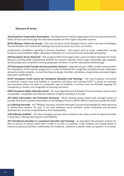#### **Glossary of terms**

*ACA (Academic Cooperation Association)* – the federation of national organisations from Europe and beyond, which all fund and encourage the internationalisation of their higher education systems.

*BFUG (Bologna Follow-Up Group)* – the main structure of the Bologna Process which oversees the Bologna Process between the ministerial meetings and meets at least once every six months.

CaribErasmus (Caribbean Opening to Erasmus Mundus) – the project aims to foster cooperation among European and Caribbean higher education institutions in a structured and sustainable perspective

*EAN (European Access Network)* – the European NGO encourages wider access to higher education for those who are currently under-represented, whether for reasons of gender, ethnic origin, nationality, age, disability, family background, vocational training, geographic location, or earlier educational disadvantage.

*ECTS (European Credit Transfer and Accumulation System)* – originally set up in 1989 as a pilot scheme within the framework of the Erasmus programme in order to facilitate the recognition of study periods undertaken abroad by mobile students, is a tool that helps to design, describe, and deliver programmes and award higher education qualifications.

*ECVET (European Credit system for Vocational Education and Training)* – the new European instrument to promote mutual trust and mobility in vocational education and training. ECVET is based on concepts and processes which are used in a systematic way to establish a common and user-friendly language for transparency, transfer and recognition of learning outcomes.

*EHEA (European Higher Education Area)* – the main objective of the Bologna Process aiming to ensure more comparable, compatible and coherent systems of higher education in Europe.

*IPN (EHEA Information and Promotion Network)* – BFUG working group tasked with amongst others to provide clear and consistent information on the Bologna Process and the EHEA in countries outside the EHEA.

*LLL (Lifelong learning)* – the "lifelong, voluntary, and self-motivated" pursuit of knowledge for either personal or professional reasons. As such, it not only enhances social inclusion, active citizenship and personal development, but also competitiveness and employability.

*LLM (Lifelong mobility)* – the new emerging concept which combines two major recent European priorities in education: Lifelong Learning (LLL) and Mobility.

*VET (Vocational education or vocational education and training)* – an education that prepares trainees for jobs or careers at various levels from a trade to a craft or a position. Craft vocations are usually based on manual or practical activities, traditionally non-academic, related to a specific trade, occupation, or vocation.